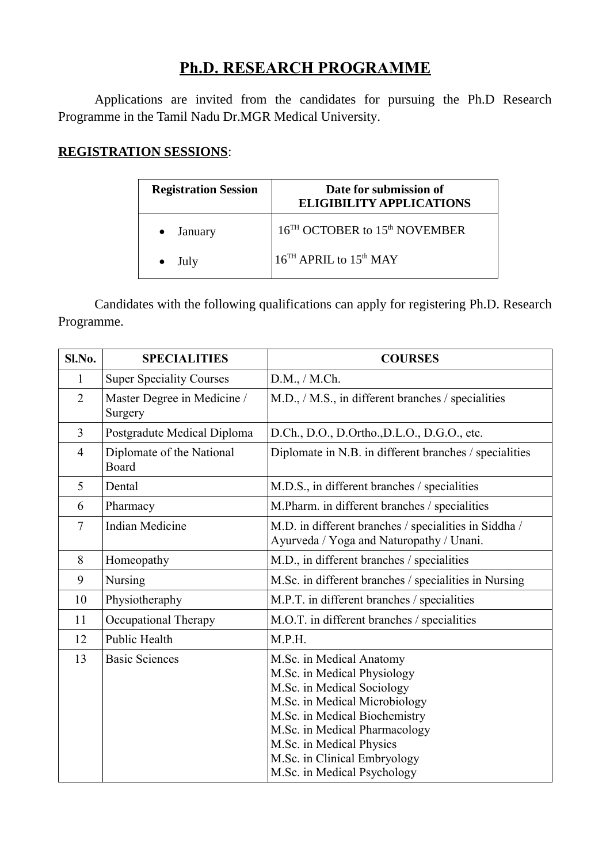## **Ph.D. RESEARCH PROGRAMME**

Applications are invited from the candidates for pursuing the Ph.D Research Programme in the Tamil Nadu Dr.MGR Medical University.

## **REGISTRATION SESSIONS**:

| <b>Registration Session</b> | Date for submission of<br><b>ELIGIBILITY APPLICATIONS</b> |
|-----------------------------|-----------------------------------------------------------|
| January                     | 16 <sup>TH</sup> OCTOBER to 15 <sup>th</sup> NOVEMBER     |
| July                        | 16 <sup>TH</sup> APRIL to 15 <sup>th</sup> MAY            |

Candidates with the following qualifications can apply for registering Ph.D. Research Programme.

| Sl.No.         | <b>SPECIALITIES</b>                    | <b>COURSES</b>                                                                                                                                                                                                                                                                      |
|----------------|----------------------------------------|-------------------------------------------------------------------------------------------------------------------------------------------------------------------------------------------------------------------------------------------------------------------------------------|
| 1              | <b>Super Speciality Courses</b>        | D.M., / M.Ch.                                                                                                                                                                                                                                                                       |
| $\overline{2}$ | Master Degree in Medicine /<br>Surgery | M.D., / M.S., in different branches / specialities                                                                                                                                                                                                                                  |
| 3              | Postgradute Medical Diploma            | D.Ch., D.O., D.Ortho., D.L.O., D.G.O., etc.                                                                                                                                                                                                                                         |
| $\overline{4}$ | Diplomate of the National<br>Board     | Diplomate in N.B. in different branches / specialities                                                                                                                                                                                                                              |
| 5              | Dental                                 | M.D.S., in different branches / specialities                                                                                                                                                                                                                                        |
| 6              | Pharmacy                               | M.Pharm. in different branches / specialities                                                                                                                                                                                                                                       |
| $\overline{7}$ | <b>Indian Medicine</b>                 | M.D. in different branches / specialities in Siddha /<br>Ayurveda / Yoga and Naturopathy / Unani.                                                                                                                                                                                   |
| 8              | Homeopathy                             | M.D., in different branches / specialities                                                                                                                                                                                                                                          |
| 9              | Nursing                                | M.Sc. in different branches / specialities in Nursing                                                                                                                                                                                                                               |
| 10             | Physiotheraphy                         | M.P.T. in different branches / specialities                                                                                                                                                                                                                                         |
| 11             | Occupational Therapy                   | M.O.T. in different branches / specialities                                                                                                                                                                                                                                         |
| 12             | <b>Public Health</b>                   | M.P.H.                                                                                                                                                                                                                                                                              |
| 13             | <b>Basic Sciences</b>                  | M.Sc. in Medical Anatomy<br>M.Sc. in Medical Physiology<br>M.Sc. in Medical Sociology<br>M.Sc. in Medical Microbiology<br>M.Sc. in Medical Biochemistry<br>M.Sc. in Medical Pharmacology<br>M.Sc. in Medical Physics<br>M.Sc. in Clinical Embryology<br>M.Sc. in Medical Psychology |